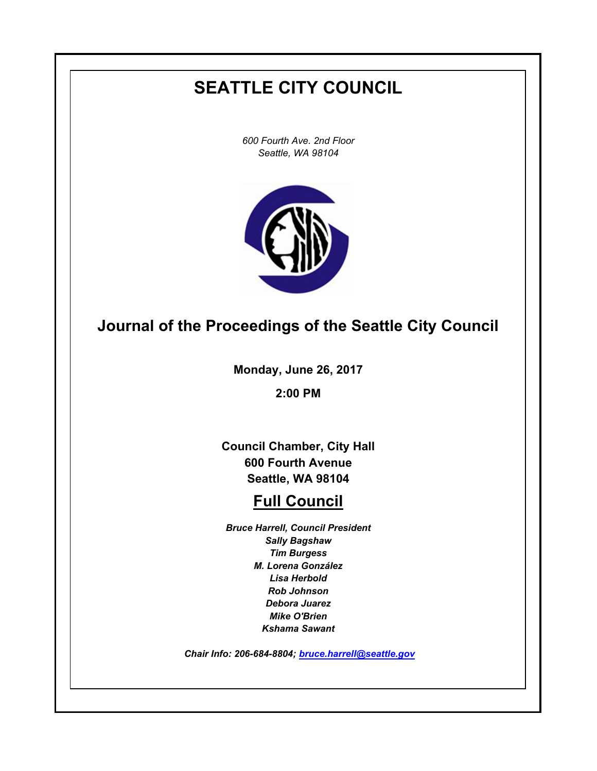# **SEATTLE CITY COUNCIL**

*600 Fourth Ave. 2nd Floor Seattle, WA 98104*



# **Journal of the Proceedings of the Seattle City Council**

**Monday, June 26, 2017**

**2:00 PM**

**Council Chamber, City Hall 600 Fourth Avenue Seattle, WA 98104**

# **Full Council**

*Bruce Harrell, Council President Sally Bagshaw Tim Burgess M. Lorena González Lisa Herbold Rob Johnson Debora Juarez Mike O'Brien Kshama Sawant*

 *Chair Info: 206-684-8804; [bruce.harrell@seattle.gov](mailto:bruce.harrell@seattle.gov)*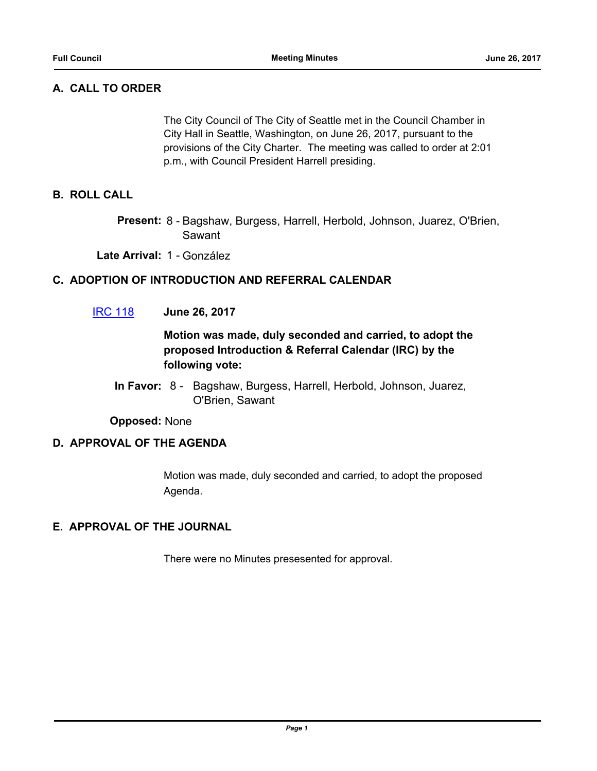# **A. CALL TO ORDER**

The City Council of The City of Seattle met in the Council Chamber in City Hall in Seattle, Washington, on June 26, 2017, pursuant to the provisions of the City Charter. The meeting was called to order at 2:01 p.m., with Council President Harrell presiding.

## **B. ROLL CALL**

Present: 8 - Bagshaw, Burgess, Harrell, Herbold, Johnson, Juarez, O'Brien, Sawant

**Late Arrival:** 1 - González

## **C. ADOPTION OF INTRODUCTION AND REFERRAL CALENDAR**

[IRC 118](http://seattle.legistar.com/gateway.aspx?m=l&id=/matter.aspx?key=5674) **June 26, 2017**

# **Motion was made, duly seconded and carried, to adopt the proposed Introduction & Referral Calendar (IRC) by the following vote:**

In Favor: 8 - Bagshaw, Burgess, Harrell, Herbold, Johnson, Juarez, O'Brien, Sawant

**Opposed:** None

#### **D. APPROVAL OF THE AGENDA**

Motion was made, duly seconded and carried, to adopt the proposed Agenda.

#### **E. APPROVAL OF THE JOURNAL**

There were no Minutes presesented for approval.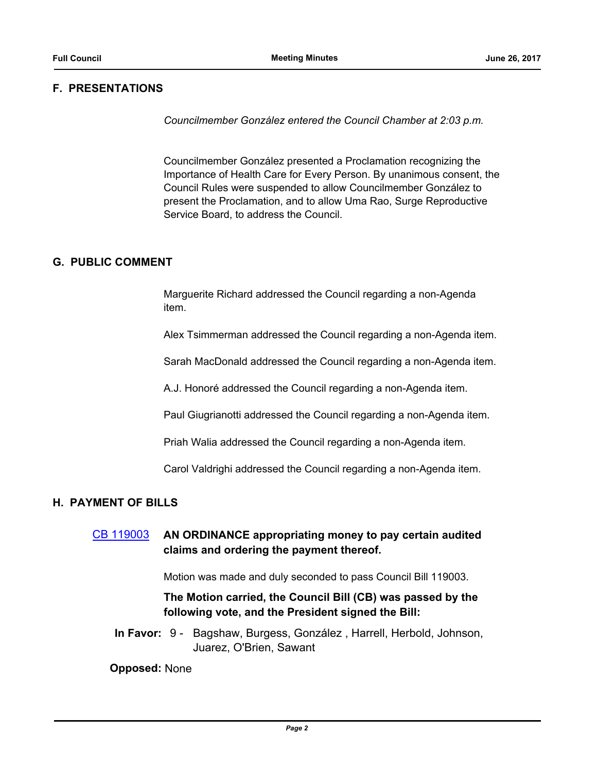## **F. PRESENTATIONS**

*Councilmember González entered the Council Chamber at 2:03 p.m.*

Councilmember González presented a Proclamation recognizing the Importance of Health Care for Every Person. By unanimous consent, the Council Rules were suspended to allow Councilmember González to present the Proclamation, and to allow Uma Rao, Surge Reproductive Service Board, to address the Council.

#### **G. PUBLIC COMMENT**

Marguerite Richard addressed the Council regarding a non-Agenda item.

Alex Tsimmerman addressed the Council regarding a non-Agenda item.

Sarah MacDonald addressed the Council regarding a non-Agenda item.

A.J. Honoré addressed the Council regarding a non-Agenda item.

Paul Giugrianotti addressed the Council regarding a non-Agenda item.

Priah Walia addressed the Council regarding a non-Agenda item.

Carol Valdrighi addressed the Council regarding a non-Agenda item.

#### **H. PAYMENT OF BILLS**

[CB 119003](http://seattle.legistar.com/gateway.aspx?m=l&id=/matter.aspx?key=5665) **AN ORDINANCE appropriating money to pay certain audited claims and ordering the payment thereof.**

Motion was made and duly seconded to pass Council Bill 119003.

# **The Motion carried, the Council Bill (CB) was passed by the following vote, and the President signed the Bill:**

In Favor: 9 - Bagshaw, Burgess, González, Harrell, Herbold, Johnson, Juarez, O'Brien, Sawant

**Opposed:** None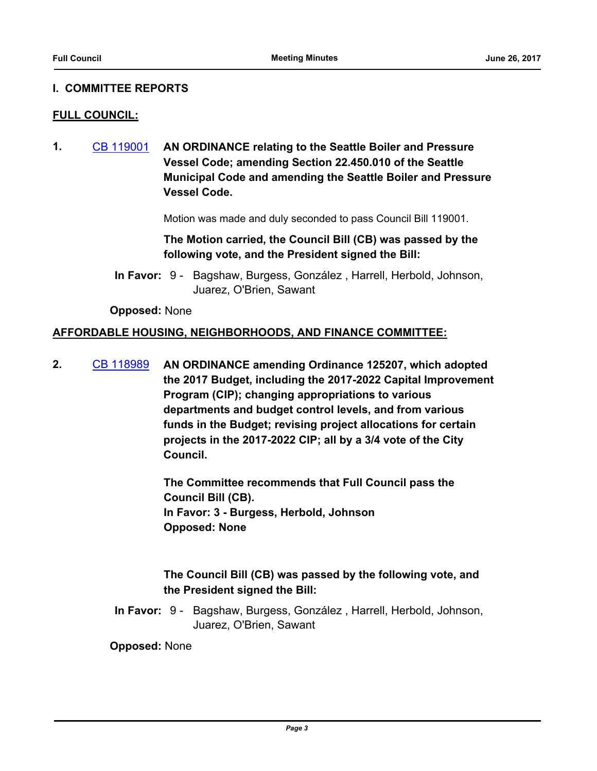#### **I. COMMITTEE REPORTS**

#### **FULL COUNCIL:**

**1.** [CB 119001](http://seattle.legistar.com/gateway.aspx?m=l&id=/matter.aspx?key=5466) **AN ORDINANCE relating to the Seattle Boiler and Pressure Vessel Code; amending Section 22.450.010 of the Seattle Municipal Code and amending the Seattle Boiler and Pressure Vessel Code.**

Motion was made and duly seconded to pass Council Bill 119001.

**The Motion carried, the Council Bill (CB) was passed by the following vote, and the President signed the Bill:**

In Favor: 9 - Bagshaw, Burgess, González, Harrell, Herbold, Johnson, Juarez, O'Brien, Sawant

**Opposed:** None

#### **AFFORDABLE HOUSING, NEIGHBORHOODS, AND FINANCE COMMITTEE:**

**2.** [CB 118989](http://seattle.legistar.com/gateway.aspx?m=l&id=/matter.aspx?key=5436) **AN ORDINANCE amending Ordinance 125207, which adopted the 2017 Budget, including the 2017-2022 Capital Improvement Program (CIP); changing appropriations to various departments and budget control levels, and from various funds in the Budget; revising project allocations for certain projects in the 2017-2022 CIP; all by a 3/4 vote of the City Council.**

> **The Committee recommends that Full Council pass the Council Bill (CB). In Favor: 3 - Burgess, Herbold, Johnson Opposed: None**

## **The Council Bill (CB) was passed by the following vote, and the President signed the Bill:**

In Favor: 9 - Bagshaw, Burgess, González, Harrell, Herbold, Johnson, Juarez, O'Brien, Sawant

**Opposed:** None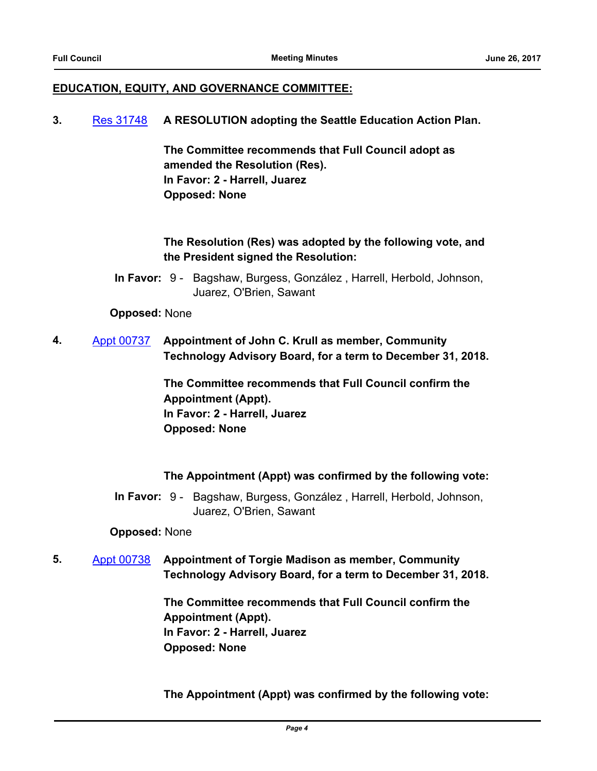### **EDUCATION, EQUITY, AND GOVERNANCE COMMITTEE:**

#### **3.** [Res 31748](http://seattle.legistar.com/gateway.aspx?m=l&id=/matter.aspx?key=5456) **A RESOLUTION adopting the Seattle Education Action Plan.**

**The Committee recommends that Full Council adopt as amended the Resolution (Res). In Favor: 2 - Harrell, Juarez Opposed: None**

# **The Resolution (Res) was adopted by the following vote, and the President signed the Resolution:**

In Favor: 9 - Bagshaw, Burgess, González, Harrell, Herbold, Johnson, Juarez, O'Brien, Sawant

#### **Opposed:** None

**4.** [Appt 00737](http://seattle.legistar.com/gateway.aspx?m=l&id=/matter.aspx?key=5566) **Appointment of John C. Krull as member, Community Technology Advisory Board, for a term to December 31, 2018.**

> **The Committee recommends that Full Council confirm the Appointment (Appt). In Favor: 2 - Harrell, Juarez Opposed: None**

# **The Appointment (Appt) was confirmed by the following vote:**

In Favor: 9 - Bagshaw, Burgess, González, Harrell, Herbold, Johnson, Juarez, O'Brien, Sawant

#### **Opposed:** None

**5.** [Appt 00738](http://seattle.legistar.com/gateway.aspx?m=l&id=/matter.aspx?key=5567) **Appointment of Torgie Madison as member, Community Technology Advisory Board, for a term to December 31, 2018.**

> **The Committee recommends that Full Council confirm the Appointment (Appt). In Favor: 2 - Harrell, Juarez Opposed: None**

**The Appointment (Appt) was confirmed by the following vote:**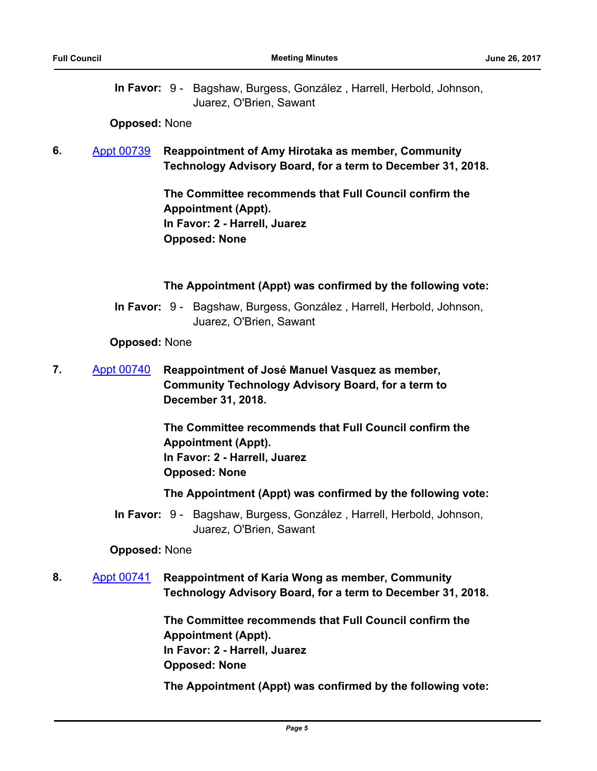In Favor: 9 - Bagshaw, Burgess, González, Harrell, Herbold, Johnson, Juarez, O'Brien, Sawant

#### **Opposed:** None

**6.** [Appt 00739](http://seattle.legistar.com/gateway.aspx?m=l&id=/matter.aspx?key=5599) **Reappointment of Amy Hirotaka as member, Community Technology Advisory Board, for a term to December 31, 2018.**

> **The Committee recommends that Full Council confirm the Appointment (Appt). In Favor: 2 - Harrell, Juarez Opposed: None**

#### **The Appointment (Appt) was confirmed by the following vote:**

In Favor: 9 - Bagshaw, Burgess, González, Harrell, Herbold, Johnson, Juarez, O'Brien, Sawant

**Opposed:** None

**7.** [Appt 00740](http://seattle.legistar.com/gateway.aspx?m=l&id=/matter.aspx?key=5600) **Reappointment of José Manuel Vasquez as member, Community Technology Advisory Board, for a term to December 31, 2018.**

> **The Committee recommends that Full Council confirm the Appointment (Appt). In Favor: 2 - Harrell, Juarez Opposed: None**

**The Appointment (Appt) was confirmed by the following vote:**

In Favor: 9 - Bagshaw, Burgess, González, Harrell, Herbold, Johnson, Juarez, O'Brien, Sawant

#### **Opposed:** None

**8.** [Appt 00741](http://seattle.legistar.com/gateway.aspx?m=l&id=/matter.aspx?key=5602) **Reappointment of Karia Wong as member, Community Technology Advisory Board, for a term to December 31, 2018.**

> **The Committee recommends that Full Council confirm the Appointment (Appt). In Favor: 2 - Harrell, Juarez Opposed: None**

**The Appointment (Appt) was confirmed by the following vote:**